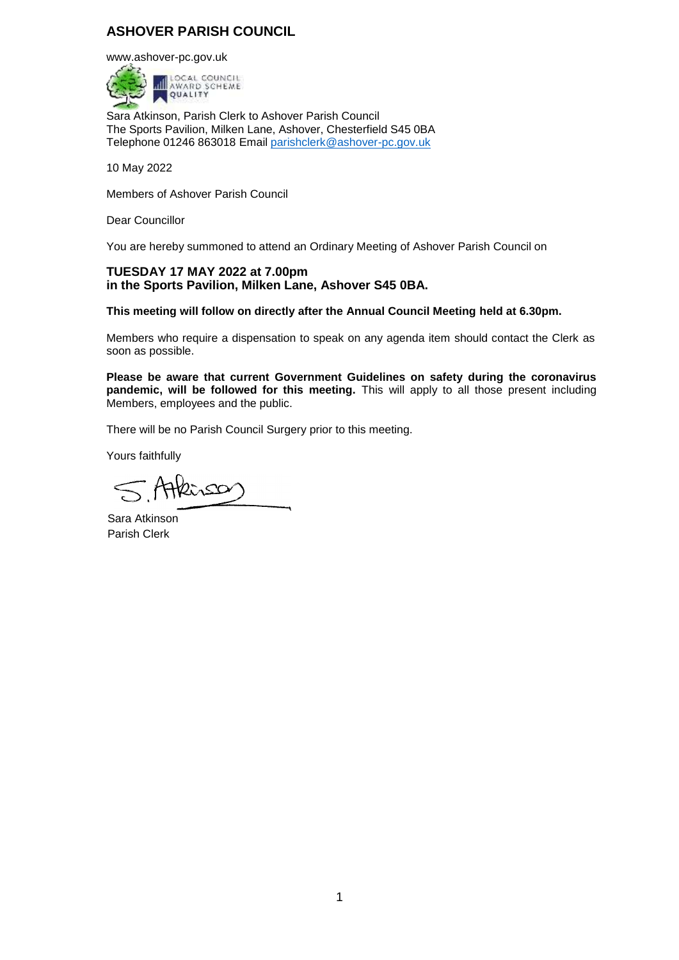# **ASHOVER PARISH COUNCIL**

[www.ashover-pc.gov.uk](http://www.ashover-pc.gov.uk/)



Sara Atkinson, Parish Clerk to Ashover Parish Council The Sports Pavilion, Milken Lane, Ashover, Chesterfield S45 0BA Telephone 01246 863018 Email [parishclerk@ashover-pc.gov.uk](mailto:parishclerk@ashover-pc.gov.uk)

10 May 2022

Members of Ashover Parish Council

Dear Councillor

You are hereby summoned to attend an Ordinary Meeting of Ashover Parish Council on

### **TUESDAY 17 MAY 2022 at 7.00pm in the Sports Pavilion, Milken Lane, Ashover S45 0BA.**

**This meeting will follow on directly after the Annual Council Meeting held at 6.30pm.**

Members who require a dispensation to speak on any agenda item should contact the Clerk as soon as possible.

**Please be aware that current Government Guidelines on safety during the coronavirus pandemic, will be followed for this meeting.** This will apply to all those present including Members, employees and the public.

There will be no Parish Council Surgery prior to this meeting.

Yours faithfully

Atkinso

Sara Atkinson Parish Clerk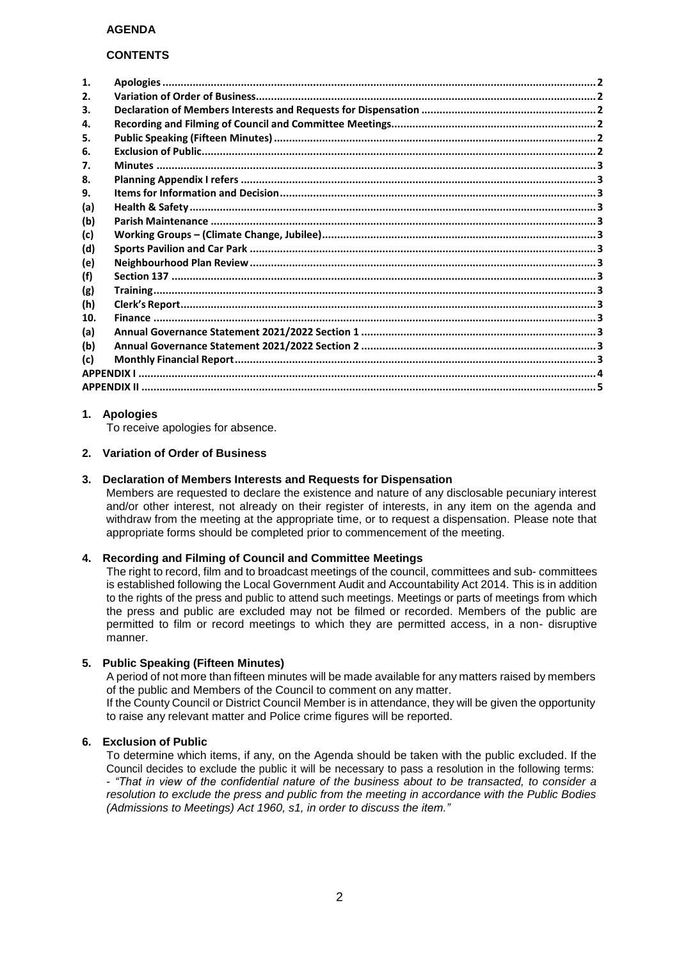### **CONTENTS**

| 1.           |  |  |  |  |
|--------------|--|--|--|--|
| $\mathbf{p}$ |  |  |  |  |
| 3.           |  |  |  |  |
| 4.           |  |  |  |  |
| 5.           |  |  |  |  |
| 6.           |  |  |  |  |
| 7.           |  |  |  |  |
| 8.           |  |  |  |  |
| 9.           |  |  |  |  |
| (a)          |  |  |  |  |
| (b)          |  |  |  |  |
| (c)          |  |  |  |  |
| (d)          |  |  |  |  |
| (e)          |  |  |  |  |
| (f)          |  |  |  |  |
| (g)          |  |  |  |  |
| (h)          |  |  |  |  |
| 10.          |  |  |  |  |
| (a)          |  |  |  |  |
| (b)          |  |  |  |  |
| (c)          |  |  |  |  |
|              |  |  |  |  |
|              |  |  |  |  |
|              |  |  |  |  |

### <span id="page-1-0"></span>**1. Apologies**

To receive apologies for absence.

#### <span id="page-1-1"></span>**2. Variation of Order of Business**

#### <span id="page-1-2"></span>**3. Declaration of Members Interests and Requests for Dispensation**

Members are requested to declare the existence and nature of any disclosable pecuniary interest and/or other interest, not already on their register of interests, in any item on the agenda and withdraw from the meeting at the appropriate time, or to request a dispensation. Please note that appropriate forms should be completed prior to commencement of the meeting.

### <span id="page-1-3"></span>**4. Recording and Filming of Council and Committee Meetings**

The right to record, film and to broadcast meetings of the council, committees and sub- committees is established following the Local Government Audit and Accountability Act 2014. This is in addition to the rights of the press and public to attend such meetings. Meetings or parts of meetings from which the press and public are excluded may not be filmed or recorded. Members of the public are permitted to film or record meetings to which they are permitted access, in a non- disruptive manner.

#### <span id="page-1-4"></span>**5. Public Speaking (Fifteen Minutes)**

A period of not more than fifteen minutes will be made available for any matters raised by members of the public and Members of the Council to comment on any matter. If the County Council or District Council Member is in attendance, they will be given the opportunity

to raise any relevant matter and Police crime figures will be reported.

### <span id="page-1-5"></span>**6. Exclusion of Public**

To determine which items, if any, on the Agenda should be taken with the public excluded. If the Council decides to exclude the public it will be necessary to pass a resolution in the following terms: - *"That in view of the confidential nature of the business about to be transacted, to consider a resolution to exclude the press and public from the meeting in accordance with the Public Bodies (Admissions to Meetings) Act 1960, s1, in order to discuss the item."*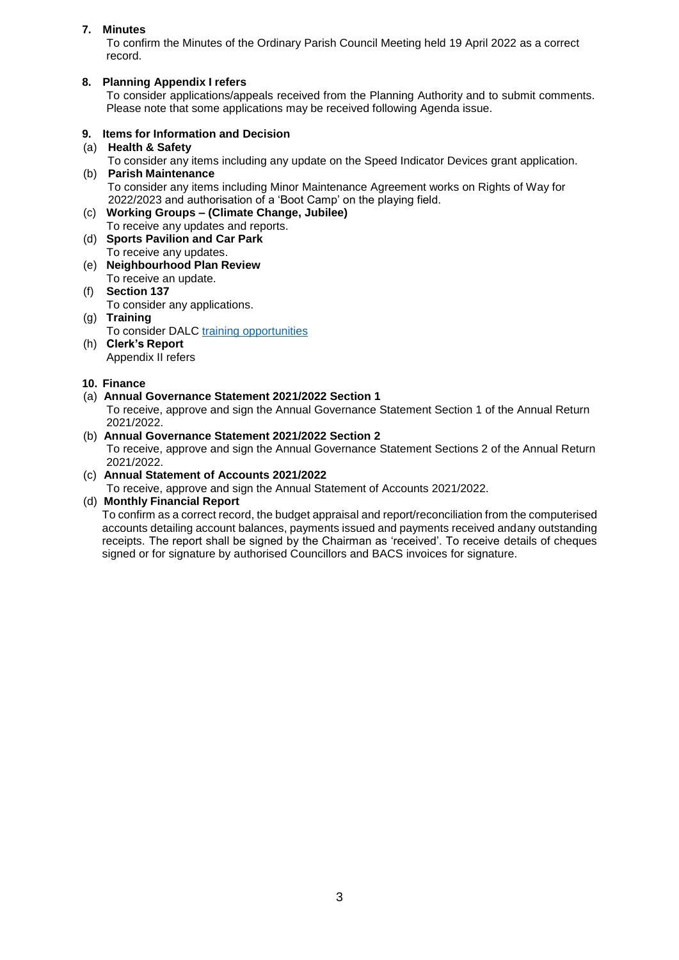### <span id="page-2-0"></span>**7. Minutes**

To confirm the Minutes of the Ordinary Parish Council Meeting held 19 April 2022 as a correct record.

### <span id="page-2-1"></span>**8. Planning Appendix I refers**

To consider applications/appeals received from the Planning Authority and to submit comments. Please note that some applications may be received following Agenda issue.

### <span id="page-2-2"></span>**9. Items for Information and Decision**

<span id="page-2-3"></span>(a) **Health & Safety**

<span id="page-2-4"></span>To consider any items including any update on the Speed Indicator Devices grant application. (b) **Parish Maintenance**

To consider any items including Minor Maintenance Agreement works on Rights of Way for 2022/2023 and authorisation of a 'Boot Camp' on the playing field.

<span id="page-2-5"></span>(c) **Working Groups – (Climate Change, Jubilee)**

To receive any updates and reports. (d) **Sports Pavilion and Car Park**

- <span id="page-2-6"></span>To receive any updates.
- <span id="page-2-7"></span>(e) **Neighbourhood Plan Review** To receive an update.
- <span id="page-2-8"></span>(f) **Section 137** To consider any applications.
- <span id="page-2-9"></span>(g) **Training** To consider DALC [training opportunities](https://www.derbyshirealc.gov.uk/list-of-courses.html)
- <span id="page-2-10"></span>(h) **Clerk's Report** Appendix II refers

### <span id="page-2-11"></span>**10. Finance**

### <span id="page-2-12"></span>(a) **Annual Governance Statement 2021/2022 Section 1**

To receive, approve and sign the Annual Governance Statement Section 1 of the Annual Return 2021/2022.

### <span id="page-2-13"></span>(b) **Annual Governance Statement 2021/2022 Section 2**

To receive, approve and sign the Annual Governance Statement Sections 2 of the Annual Return 2021/2022.

### <span id="page-2-14"></span>(c) **Annual Statement of Accounts 2021/2022**

To receive, approve and sign the Annual Statement of Accounts 2021/2022.

### (d) **Monthly Financial Report**

To confirm as a correct record, the budget appraisal and report/reconciliation from the computerised accounts detailing account balances, payments issued and payments received andany outstanding receipts. The report shall be signed by the Chairman as 'received'. To receive details of cheques signed or for signature by authorised Councillors and BACS invoices for signature.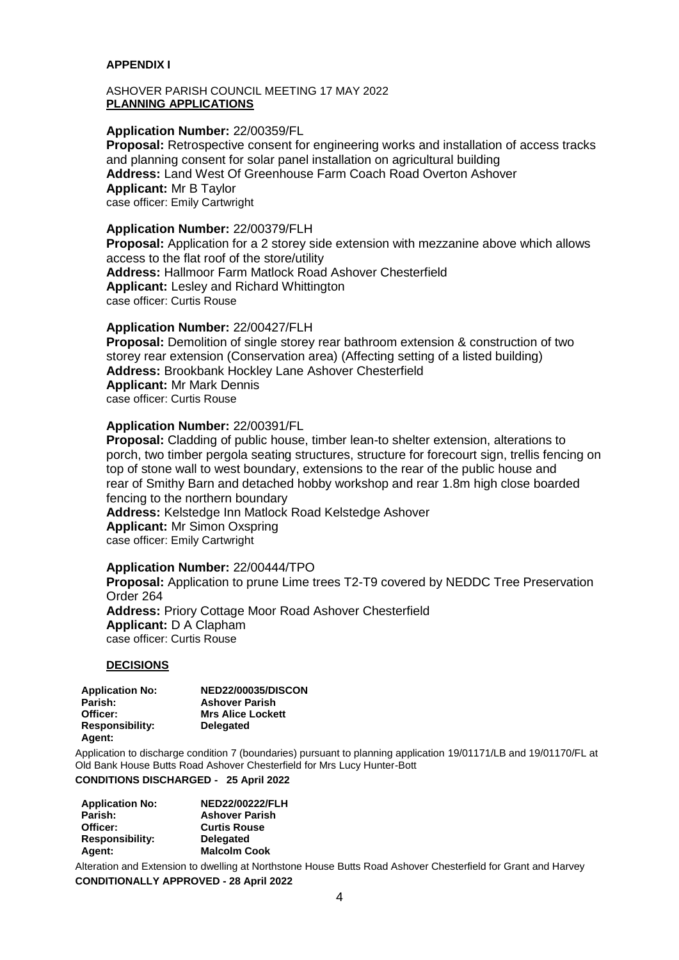### <span id="page-3-0"></span>**APPENDIX I**

#### ASHOVER PARISH COUNCIL MEETING 17 MAY 2022 **PLANNING APPLICATIONS**

### **Application Number:** 22/00359/FL

**Proposal:** Retrospective consent for engineering works and installation of access tracks and planning consent for solar panel installation on agricultural building **Address:** Land West Of Greenhouse Farm Coach Road Overton Ashover **Applicant:** Mr B Taylor case officer: Emily Cartwright

#### **Application Number:** 22/00379/FLH

**Proposal:** Application for a 2 storey side extension with mezzanine above which allows access to the flat roof of the store/utility **Address:** Hallmoor Farm Matlock Road Ashover Chesterfield **Applicant:** Lesley and Richard Whittington case officer: Curtis Rouse

### **Application Number:** 22/00427/FLH

**Proposal:** Demolition of single storey rear bathroom extension & construction of two storey rear extension (Conservation area) (Affecting setting of a listed building) **Address:** Brookbank Hockley Lane Ashover Chesterfield **Applicant:** Mr Mark Dennis case officer: Curtis Rouse

### **Application Number:** 22/00391/FL

**Proposal:** Cladding of public house, timber lean-to shelter extension, alterations to porch, two timber pergola seating structures, structure for forecourt sign, trellis fencing on top of stone wall to west boundary, extensions to the rear of the public house and rear of Smithy Barn and detached hobby workshop and rear 1.8m high close boarded fencing to the northern boundary

**Address:** Kelstedge Inn Matlock Road Kelstedge Ashover **Applicant:** Mr Simon Oxspring case officer: Emily Cartwright

#### **Application Number:** 22/00444/TPO

**Proposal:** Application to prune Lime trees T2-T9 covered by NEDDC Tree Preservation Order 264 **Address:** Priory Cottage Moor Road Ashover Chesterfield **Applicant:** D A Clapham case officer: Curtis Rouse

#### **DECISIONS**

| <b>Application No:</b> | <b>NED22/00035/DISCON</b> |
|------------------------|---------------------------|
| Parish:                | <b>Ashover Parish</b>     |
| Officer:               | <b>Mrs Alice Lockett</b>  |
| <b>Responsibility:</b> | <b>Delegated</b>          |
| Agent:                 |                           |

Application to discharge condition 7 (boundaries) pursuant to planning application 19/01171/LB and 19/01170/FL at Old Bank House Butts Road Ashover Chesterfield for Mrs Lucy Hunter-Bott

#### **CONDITIONS DISCHARGED - 25 April 2022**

| <b>Application No:</b> | <b>NED22/00222/FLH</b> |  |
|------------------------|------------------------|--|
| Parish:                | <b>Ashover Parish</b>  |  |
| Officer:               | <b>Curtis Rouse</b>    |  |
| <b>Responsibility:</b> | <b>Delegated</b>       |  |
| Agent:                 | <b>Malcolm Cook</b>    |  |
|                        |                        |  |

Alteration and Extension to dwelling at Northstone House Butts Road Ashover Chesterfield for Grant and Harvey **CONDITIONALLY APPROVED - 28 April 2022**